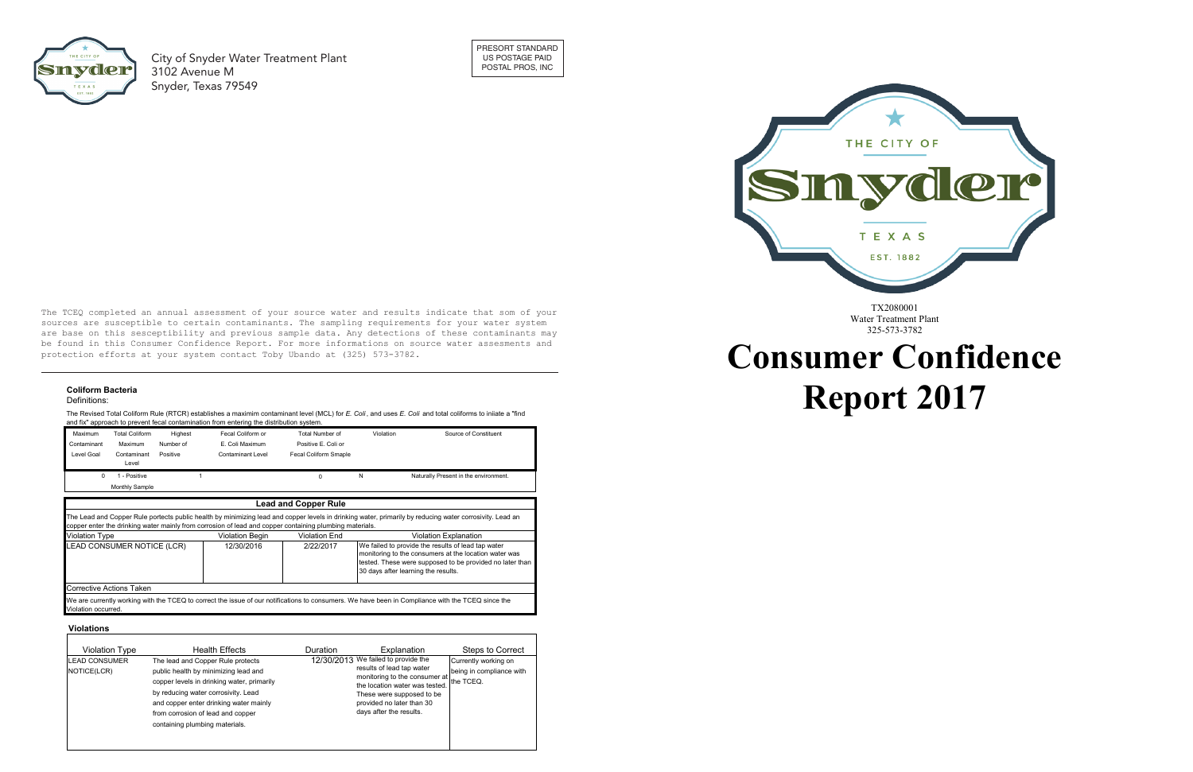

# **Consumer Confidence Report 2017**

The TCEQ completed an annual assessment of your source water and results indicate that som of your Ine reag compress an annual assessment of your source water and resures indicate that some of your be found in this Consumer Confidence Report. For more informations on source water assessments and **ne found in this consumer confidence** protection efforts at your system contact Toby Ubando at (325) 573-3782. are base on this sesceptibility and previous sample data. Any detections of these contaminants may

**City of Snyder Water Treatment PI**  $T_{\rm eff}$  $\overline{a}$ City of Snyder Water Treatment Plant 3102 Avenue M Snyder, Texas 79549

## **Secondary Constituents Coliform Bacteria**

#### **Many Company constituents (such as calculated by a calculated by a calculated by a calculated by a calculated by a calculated by a calculated by a calculated by a calculated by a calculated by a calculated by a calculated Solution** which are often found in  $\mathbf{z}$

The Revised Total Coliform Rule (RTCR) establishes a maximim contaminant level (MCL) for *E. Coli*, and uses *E. Coli* and total coliforms to iniiate a "find and fix" approach to prevent fecal contamination from entering the distribution system.



per literatur.<br>Per literatur

| <b>Total Coliform</b><br>Maximum |                      | Highest                      | Fecal Coliform or                                                                                       | Total Number of             | Violation | Source of Constituent                                                                                                                                                                                          |  |
|----------------------------------|----------------------|------------------------------|---------------------------------------------------------------------------------------------------------|-----------------------------|-----------|----------------------------------------------------------------------------------------------------------------------------------------------------------------------------------------------------------------|--|
| Contaminant                      | Maximum              | Number of<br>E. Coli Maximum |                                                                                                         | Positive E. Coli or         |           |                                                                                                                                                                                                                |  |
| Level Goal                       | Contaminant<br>Level | Positive                     | <b>Contaminant Level</b>                                                                                | Fecal Coliform Smaple       |           |                                                                                                                                                                                                                |  |
| $\Omega$                         | 1 - Positive         |                              |                                                                                                         |                             | N         | Naturally Present in the environment.                                                                                                                                                                          |  |
|                                  | Monthly Sample       |                              |                                                                                                         |                             |           |                                                                                                                                                                                                                |  |
|                                  |                      |                              |                                                                                                         | <b>Lead and Copper Rule</b> |           |                                                                                                                                                                                                                |  |
|                                  |                      |                              |                                                                                                         |                             |           |                                                                                                                                                                                                                |  |
|                                  |                      |                              | copper enter the drinking water mainly from corrosion of lead and copper containing plumbing materials. |                             |           | The Lead and Copper Rule portects public health by minimizing lead and copper levels in drinking water, primarily by reducing water corrosivity. Lead an                                                       |  |
| Violation Type                   |                      |                              | <b>Violation Begin</b>                                                                                  | Violation End               |           | <b>Violation Explanation</b>                                                                                                                                                                                   |  |
| LEAD CONSUMER NOTICE (LCR)       |                      |                              | 12/30/2016                                                                                              | 2/22/2017                   |           | We failed to provide the results of lead tap water<br>monitoring to the consumers at the location water was<br>tested. These were supposed to be provided no later than<br>30 days after learning the results. |  |
| Corrective Actions Taken         |                      |                              |                                                                                                         |                             |           |                                                                                                                                                                                                                |  |

TX2080001 Water Treatment Plant 325-573-3782



Erosion of natural deposits.

#### **Violations**

| Violation Type                      | Health Effects                                                                                                                                                                                                                                                                  | <b>Duration</b> | Explanation                                                                                                                                                                                                              | Steps to Correct                                              |
|-------------------------------------|---------------------------------------------------------------------------------------------------------------------------------------------------------------------------------------------------------------------------------------------------------------------------------|-----------------|--------------------------------------------------------------------------------------------------------------------------------------------------------------------------------------------------------------------------|---------------------------------------------------------------|
| <b>LEAD CONSUMER</b><br>NOTICE(LCR) | The lead and Copper Rule protects<br>public health by minimizing lead and<br>copper levels in drinking water, primarily<br>by reducing water corrosivity. Lead<br>and copper enter drinking water mainly<br>from corrosion of lead and copper<br>containing plumbing materials. |                 | 12/30/2013 We failed to provide the<br>results of lead tap water<br>monitoring to the consumer at<br>the location water was tested.<br>These were supposed to be<br>provided no later than 30<br>days after the results. | Currently working on<br>being in compliance with<br>the TCEQ. |